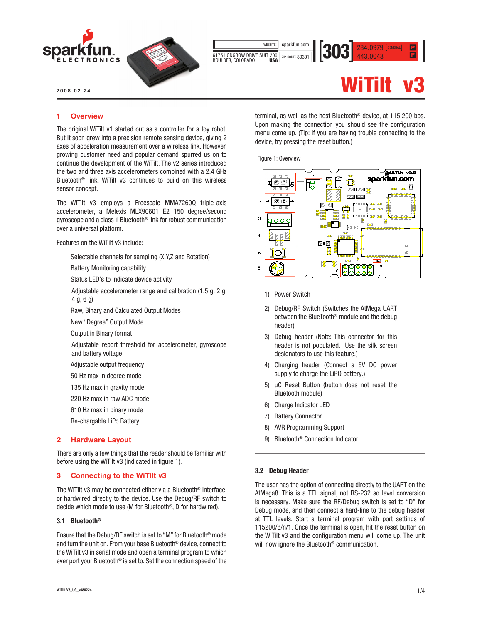

2008.02.24

# 1 Overview

The original WiTilt v1 started out as a controller for a toy robot. But it soon grew into a precision remote sensing device, giving 2 axes of acceleration measurement over a wireless link. However, growing customer need and popular demand spurred us on to continue the development of the WiTilt. The v2 series introduced the two and three axis accelerometers combined with a 2.4 GHz Bluetooth® link. WiTilt v3 continues to build on this wireless sensor concept.

The WiTilt v3 employs a Freescale MMA7260Q triple-axis accelerometer, a Melexis MLX90601 E2 150 degree/second gyroscope and a class 1 Bluetooth® link for robust communication over a universal platform.

Features on the WiTilt v3 include:

- Selectable channels for sampling (X,Y,Z and Rotation)
- Battery Monitoring capability

Status LED's to indicate device activity

- Adjustable accelerometer range and calibration (1.5 g, 2 g, 4 g, 6 g)
- Raw, Binary and Calculated Output Modes
- New "Degree" Output Mode
- Output in Binary format
- Adjustable report threshold for accelerometer, gyroscope and battery voltage
- Adjustable output frequency
- 50 Hz max in degree mode
- 135 Hz max in gravity mode
- 220 Hz max in raw ADC mode
- 610 Hz max in binary mode
- Re-chargable LiPo Battery

## 2 Hardware Layout

There are only a few things that the reader should be familiar with before using the WiTilt v3 (indicated in figure 1).

#### 3 Connecting to the WiTilt v3

The WiTilt v3 may be connected either via a Bluetooth® interface, or hardwired directly to the device. Use the Debug/RF switch to decide which mode to use (M for Bluetooth®, D for hardwired).

# 3.1 Bluetooth®

Ensure that the Debug/RF switch is set to "M" for Bluetooth® mode and turn the unit on. From your base Bluetooth® device, connect to the WiTilt v3 in serial mode and open a terminal program to which ever port your Bluetooth® is set to. Set the connection speed of the terminal, as well as the host Bluetooth® device, at 115,200 bps. Upon making the connection you should see the configuration menu come up. (Tip: If you are having trouble connecting to the device, try pressing the reset button.)

## Figure 1: Overview



- 1) Power Switch
- 2) Debug/RF Switch (Switches the AtMega UART between the BlueTooth® module and the debug header)
- 3) Debug header (Note: This connector for this header is not populated. Use the silk screen designators to use this feature.)
- 4) Charging header (Connect a 5V DC power supply to charge the LiPO battery.)
- 5) uC Reset Button (button does not reset the Bluetooth module)
- 6) Charge Indicator LED
- 7) Battery Connector
- 8) AVR Programming Support
- 9) Bluetooth® Connection Indicator

## 3.2 Debug Header

The user has the option of connecting directly to the UART on the AtMega8. This is a TTL signal, not RS-232 so level conversion is necessary. Make sure the RF/Debug switch is set to "D" for Debug mode, and then connect a hard-line to the debug header at TTL levels. Start a terminal program with port settings of 115200/8/n/1. Once the terminal is open, hit the reset button on the WiTilt v3 and the configuration menu will come up. The unit will now ignore the Bluetooth® communication.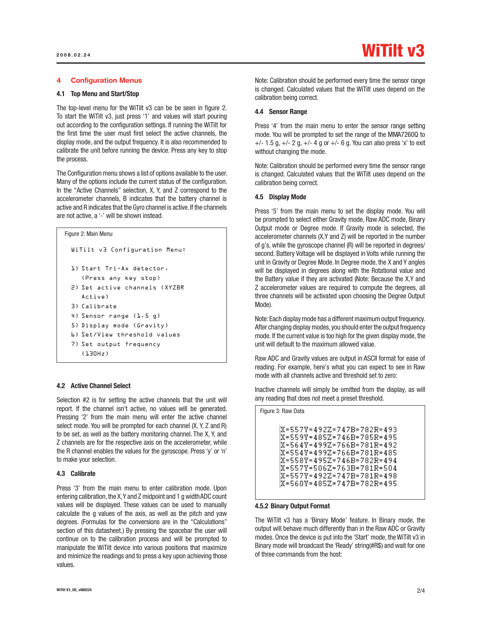## 4 Configuration Menus

## 4.1 Top Menu and Start/Stop

The top-level menu for the WiTilt v3 can be be seen in figure 2. To start the WiTilt v3, just press '1' and values will start pouring out according to the configuration settings. If running the WiTilt for the first time the user must first select the active channels, the display mode, and the output frequency. It is also recommended to calibrate the unit before running the device. Press any key to stop the process.

The Configuration menu shows a list of options available to the user. Many of the options include the current status of the configuration. In the "Active Channels" selection, X, Y, and Z correspond to the accelerometer channels, B indicates that the battery channel is active and R indicates that the Gyro channel is active. If the channels are not active, a '-' will be shown instead.

```
WiTilt v3 Configuration Menu:
 1) Start Tri-Ax detector. 
    (Press any key stop)
 2) Set active channels (XYZBR 
    Active)
 3) Calibrate
 4) Sensor range (1.5 g)
 5) Display mode (Gravity)
 6) Set/View threshold values
 7) Set output frequency
    (130Hz)
Figure 2: Main Menu
```
# 4.2 Active Channel Select

Selection #2 is for setting the active channels that the unit will report. If the channel isn't active, no values will be generated. Pressing '2' from the main menu will enter the active channel select mode. You will be prompted for each channel (X, Y, Z and R) to be set, as well as the battery monitoring channel. The X, Y, and Z channels are for the respective axis on the accelerometer, while the R channel enables the values for the gyroscope. Press 'y' or 'n' to make your selection.

#### 4.3 Calibrate

Press '3' from the main menu to enter calibration mode. Upon entering calibration, the X, Y and Z midpoint and 1 g width ADC count values will be displayed. These values can be used to manually calculate the g values of the axis, as well as the pitch and yaw degrees. (Formulas for the conversions are in the "Calculations" section of this datasheet.) By pressing the spacebar the user will continue on to the calibration process and will be prompted to manipulate the WiTilt device into various positions that maximize and minimize the readings and to press a key upon achieving those values.

Note: Calibration should be performed every time the sensor range is changed. Calculated values that the WiTilt uses depend on the calibration being correct.

#### 4.4 Sensor Range

Press '4' from the main menu to enter the sensor range setting mode. You will be prompted to set the range of the MMA7260Q to  $+/- 1.5$  g,  $+/- 2$  g,  $+/- 4$  g or  $+/- 6$  g. You can also press 'x' to exit without changing the mode.

Note: Calibration should be performed every time the sensor range is changed. Calculated values that the WiTilt uses depend on the calibration being correct.

#### 4.5 Display Mode

Press '5' from the main menu to set the display mode. You will be prompted to select either Gravity mode, Raw ADC mode, Binary Output mode or Degree mode. If Gravity mode is selected, the accelerometer channels (X,Y and Z) will be reported in the number of g's, while the gyroscope channel (R) will be reported in degrees/ second. Battery Voltage will be displayed in Volts while running the unit in Gravity or Degree Mode. In Degree mode, the X and Y angles will be displayed in degrees along with the Rotational value and the Battery value if they are activated (Note: Because the X,Y and Z accelerometer values are required to compute the degrees, all three channels will be activated upon choosing the Degree Output Mode).

Note: Each display mode has a different maximum output frequency. After changing display modes, you should enter the output frequency mode. If the current value is too high for the given display mode, the unit will default to the maximum allowed value.

Raw ADC and Gravity values are output in ASCII format for ease of reading. For example, here's what you can expect to see in Raw mode with all channels active and threshold set to zero:

Inactive channels will simply be omitted from the display, as will any reading that does not meet a preset threshold.

| Figure 3: Raw Data                                                                                                                                                                                                                          |  |
|---------------------------------------------------------------------------------------------------------------------------------------------------------------------------------------------------------------------------------------------|--|
| X=557Y=492Z=747B=782R=493<br> X=559Y=485Z=746B=785R=495<br> X=564Y=499Z=766B=781R=492<br> X=554Y=499Z=766B=781R=485<br> X=558Y=495Z=746B=782R=494<br> X=557Y=506Z=763B=781R=504<br> X=557Y=492Z=747B=781R=498<br> X=560Y=485Z=747B=782R=495 |  |

#### 4.5.2 Binary Output Format

The WiTilt v3 has a 'Binary Mode' feature. In Binary mode, the output will behave much differently than in the Raw ADC or Gravity modes. Once the device is put into the 'Start' mode, the WiTilt v3 in Binary mode will broadcast the 'Ready' string(#R\$) and wait for one of three commands from the host: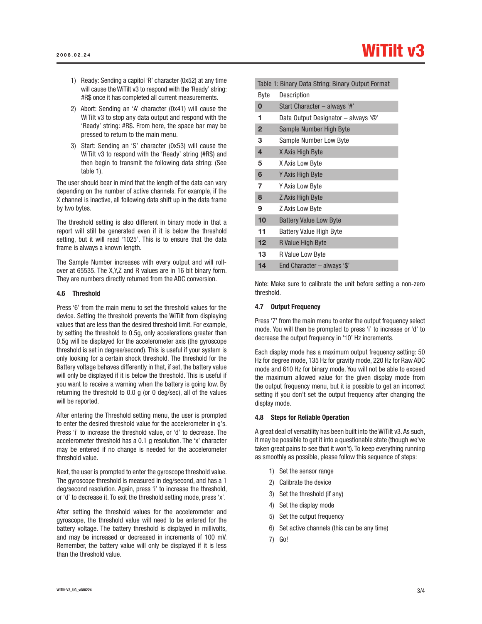- 1) Ready: Sending a capitol 'R' character (0x52) at any time will cause the WiTilt v3 to respond with the 'Ready' string: #R\$ once it has completed all current measurements.
- 2) Abort: Sending an 'A' character (0x41) will cause the WiTilt v3 to stop any data output and respond with the 'Ready' string: #R\$. From here, the space bar may be pressed to return to the main menu.
- 3) Start: Sending an 'S' character (0x53) will cause the WiTilt v3 to respond with the 'Ready' string (#R\$) and then begin to transmit the following data string: (See table 1).

The user should bear in mind that the length of the data can vary depending on the number of active channels. For example, if the X channel is inactive, all following data shift up in the data frame by two bytes.

The threshold setting is also different in binary mode in that a report will still be generated even if it is below the threshold setting, but it will read '1025'. This is to ensure that the data frame is always a known length.

The Sample Number increases with every output and will rollover at 65535. The X,Y,Z and R values are in 16 bit binary form. They are numbers directly returned from the ADC conversion.

### 4.6 Threshold

Press '6' from the main menu to set the threshold values for the device. Setting the threshold prevents the WiTilt from displaying values that are less than the desired threshold limit. For example, by setting the threshold to 0.5g, only accelerations greater than 0.5g will be displayed for the accelerometer axis (the gyroscope threshold is set in degree/second). This is useful if your system is only looking for a certain shock threshold. The threshold for the Battery voltage behaves differently in that, if set, the battery value will only be displayed if it is below the threshold. This is useful if you want to receive a warning when the battery is going low. By returning the threshold to 0.0 g (or 0 deg/sec), all of the values will be reported.

After entering the Threshold setting menu, the user is prompted to enter the desired threshold value for the accelerometer in g's. Press 'i' to increase the threshold value, or 'd' to decrease. The accelerometer threshold has a 0.1 g resolution. The 'x' character may be entered if no change is needed for the accelerometer threshold value.

Next, the user is prompted to enter the gyroscope threshold value. The gyroscope threshold is measured in deg/second, and has a 1 deg/second resolution. Again, press 'i' to increase the threshold, or 'd' to decrease it. To exit the threshold setting mode, press 'x'.

After setting the threshold values for the accelerometer and gyroscope, the threshold value will need to be entered for the battery voltage. The battery threshold is displayed in millivolts, and may be increased or decreased in increments of 100 mV. Remember, the battery value will only be displayed if it is less than the threshold value.

|              | Table 1: Binary Data String: Binary Output Format |
|--------------|---------------------------------------------------|
| Byte         | Description                                       |
| $\bf{0}$     | Start Character - always '#'                      |
| 1            | Data Output Designator - always '@'               |
| $\mathbf{2}$ | Sample Number High Byte                           |
| 3            | Sample Number Low Byte                            |
| 4            | X Axis High Byte                                  |
| 5            | X Axis Low Byte                                   |
| 6            | Y Axis High Byte                                  |
| 7            | Y Axis Low Byte                                   |
| 8            | Z Axis High Byte                                  |
| 9            | Z Axis Low Byte                                   |
| 10           | <b>Battery Value Low Byte</b>                     |
| 11           | <b>Battery Value High Byte</b>                    |
| 12           | R Value High Byte                                 |
| 13           | R Value Low Byte                                  |
| 14           | End Character - always '\$'                       |
|              |                                                   |

Note: Make sure to calibrate the unit before setting a non-zero threshold.

## 4.7 Output Frequency

Press '7' from the main menu to enter the output frequency select mode. You will then be prompted to press 'i' to increase or 'd' to decrease the output frequency in '10' Hz increments.

Each display mode has a maximum output frequency setting: 50 Hz for degree mode, 135 Hz for gravity mode, 220 Hz for Raw ADC mode and 610 Hz for binary mode. You will not be able to exceed the maximum allowed value for the given display mode from the output frequency menu, but it is possible to get an incorrect setting if you don't set the output frequency after changing the display mode.

#### 4.8 Steps for Reliable Operation

A great deal of versatility has been built into the WiTilt v3. As such, it may be possible to get it into a questionable state (though we've taken great pains to see that it won't). To keep everything running as smoothly as possible, please follow this sequence of steps:

- 1) Set the sensor range
- 2) Calibrate the device
- 3) Set the threshold (if any)
- 4) Set the display mode
- 5) Set the output frequency
- 6) Set active channels (this can be any time)
- 7) Go!